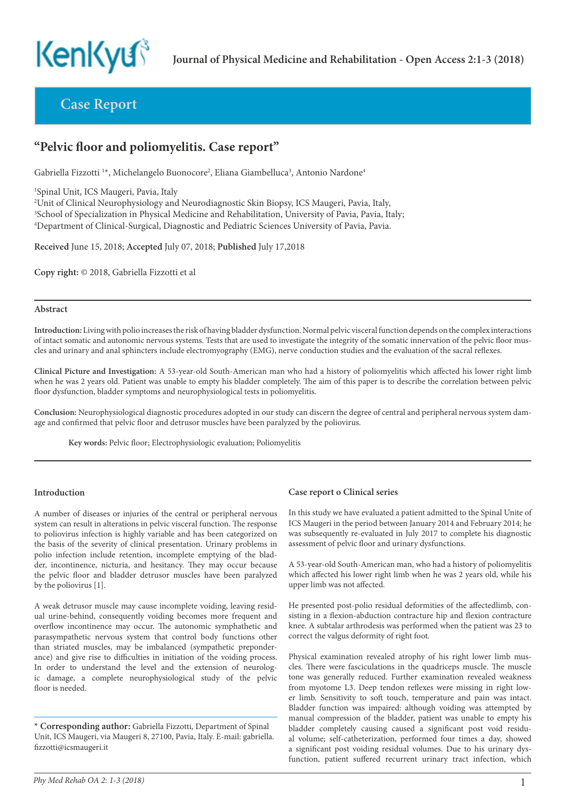

**Case Report**

# **"Pelvic floor and poliomyelitis. Case report"**

Gabriella Fizzotti<sup>1\*</sup>, Michelangelo Buonocore<sup>2</sup>, Eliana Giambelluca<sup>3</sup>, Antonio Nardone<sup>4</sup>

1 Spinal Unit, ICS Maugeri, Pavia, Italy

2 Unit of Clinical Neurophysiology and Neurodiagnostic Skin Biopsy, ICS Maugeri, Pavia, Italy, 3 School of Specialization in Physical Medicine and Rehabilitation, University of Pavia, Pavia, Italy; 4 Department of Clinical-Surgical, Diagnostic and Pediatric Sciences University of Pavia, Pavia.

**Received** June 15, 2018; **Accepted** July 07, 2018; **Published** July 17,2018

**Copy right:** © 2018, Gabriella Fizzotti et al

#### **Abstract**

**Introduction:** Living with polio increases the risk of having bladder dysfunction. Normal pelvic visceral function depends on the complex interactions of intact somatic and autonomic nervous systems. Tests that are used to investigate the integrity of the somatic innervation of the pelvic floor muscles and urinary and anal sphincters include electromyography (EMG), nerve conduction studies and the evaluation of the sacral reflexes.

**Clinical Picture and Investigation:** A 53-year-old South-American man who had a history of poliomyelitis which affected his lower right limb when he was 2 years old. Patient was unable to empty his bladder completely. The aim of this paper is to describe the correlation between pelvic floor dysfunction, bladder symptoms and neurophysiological tests in poliomyelitis.

**Conclusion:** Neurophysiological diagnostic procedures adopted in our study can discern the degree of central and peripheral nervous system damage and confirmed that pelvic floor and detrusor muscles have been paralyzed by the poliovirus.

**Key words:** Pelvic floor; Electrophysiologic evaluation; Poliomyelitis

## **Introduction**

A number of diseases or injuries of the central or peripheral nervous system can result in alterations in pelvic visceral function. The response to poliovirus infection is highly variable and has been categorized on the basis of the severity of clinical presentation. Urinary problems in polio infection include retention, incomplete emptying of the bladder, incontinence, nicturia, and hesitancy. They may occur because the pelvic floor and bladder detrusor muscles have been paralyzed by the poliovirus [1].

A weak detrusor muscle may cause incomplete voiding, leaving residual urine-behind, consequently voiding becomes more frequent and overflow incontinence may occur. The autonomic symphathetic and parasympathetic nervous system that control body functions other than striated muscles, may be imbalanced (sympathetic preponderance) and give rise to difficulties in initiation of the voiding process. In order to understand the level and the extension of neurologic damage, a complete neurophysiological study of the pelvic floor is needed.

**\* Corresponding author:** Gabriella Fizzotti, Department of Spinal Unit, ICS Maugeri, via Maugeri 8, 27100, Pavia, Italy. E-mail: gabriella. fizzotti@icsmaugeri.it

# **Case report o Clinical series**

In this study we have evaluated a patient admitted to the Spinal Unite of ICS Maugeri in the period between January 2014 and February 2014; he was subsequently re-evaluated in July 2017 to complete his diagnostic assessment of pelvic floor and urinary dysfunctions.

A 53-year-old South-American man, who had a history of poliomyelitis which affected his lower right limb when he was 2 years old, while his upper limb was not affected.

He presented post-polio residual deformities of the affectedlimb, consisting in a flexion-abduction contracture hip and flexion contracture knee. A subtalar arthrodesis was performed when the patient was 23 to correct the valgus deformity of right foot.

Physical examination revealed atrophy of his right lower limb muscles. There were fasciculations in the quadriceps muscle. The muscle tone was generally reduced. Further examination revealed weakness from myotome L3. Deep tendon reflexes were missing in right lower limb. Sensitivity to soft touch, temperature and pain was intact. Bladder function was impaired: although voiding was attempted by manual compression of the bladder, patient was unable to empty his bladder completely causing caused a significant post void residual volume; self-catheterization, performed four times a day, showed a significant post voiding residual volumes. Due to his urinary dysfunction, patient suffered recurrent urinary tract infection, which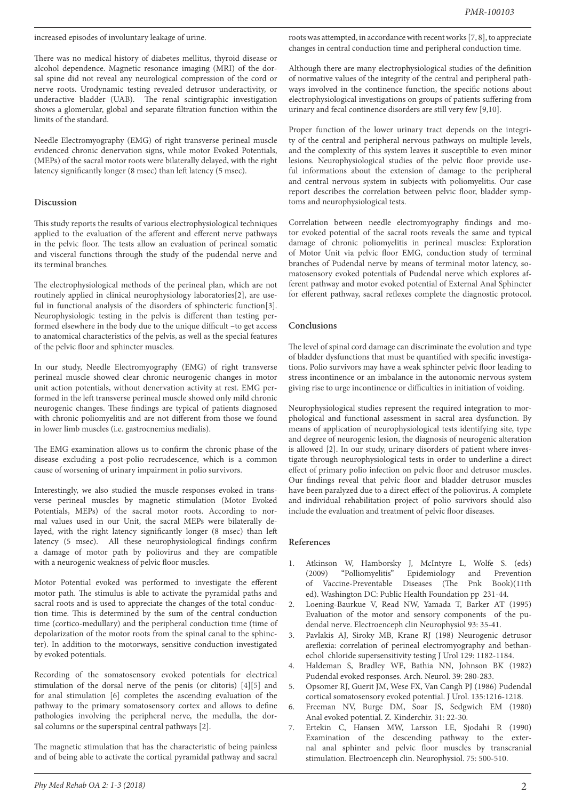increased episodes of involuntary leakage of urine.

There was no medical history of diabetes mellitus, thyroid disease or alcohol dependence. Magnetic resonance imaging (MRI) of the dorsal spine did not reveal any neurological compression of the cord or nerve roots. Urodynamic testing revealed detrusor underactivity, or underactive bladder (UAB). The renal scintigraphic investigation shows a glomerular, global and separate filtration function within the limits of the standard.

Needle Electromyography (EMG) of right transverse perineal muscle evidenced chronic denervation signs, while motor Evoked Potentials, (MEPs) of the sacral motor roots were bilaterally delayed, with the right latency significantly longer (8 msec) than left latency (5 msec).

## **Discussion**

This study reports the results of various electrophysiological techniques applied to the evaluation of the afferent and efferent nerve pathways in the pelvic floor. The tests allow an evaluation of perineal somatic and visceral functions through the study of the pudendal nerve and its terminal branches.

The electrophysiological methods of the perineal plan, which are not routinely applied in clinical neurophysiology laboratories[2], are useful in functional analysis of the disorders of sphincteric function[3]. Neurophysiologic testing in the pelvis is different than testing performed elsewhere in the body due to the unique difficult –to get access to anatomical characteristics of the pelvis, as well as the special features of the pelvic floor and sphincter muscles.

In our study, Needle Electromyography (EMG) of right transverse perineal muscle showed clear chronic neurogenic changes in motor unit action potentials, without denervation activity at rest. EMG performed in the left transverse perineal muscle showed only mild chronic neurogenic changes. These findings are typical of patients diagnosed with chronic poliomyelitis and are not different from those we found in lower limb muscles (i.e. gastrocnemius medialis).

The EMG examination allows us to confirm the chronic phase of the disease excluding a post-polio recrudescence, which is a common cause of worsening of urinary impairment in polio survivors.

Interestingly, we also studied the muscle responses evoked in transverse perineal muscles by magnetic stimulation (Motor Evoked Potentials, MEPs) of the sacral motor roots. According to normal values used in our Unit, the sacral MEPs were bilaterally delayed, with the right latency significantly longer (8 msec) than left latency (5 msec). All these neurophysiological findings confirm a damage of motor path by poliovirus and they are compatible with a neurogenic weakness of pelvic floor muscles.

Motor Potential evoked was performed to investigate the efferent motor path. The stimulus is able to activate the pyramidal paths and sacral roots and is used to appreciate the changes of the total conduction time. This is determined by the sum of the central conduction time (cortico-medullary) and the peripheral conduction time (time of depolarization of the motor roots from the spinal canal to the sphincter). In addition to the motorways, sensitive conduction investigated by evoked potentials.

Recording of the somatosensory evoked potentials for electrical stimulation of the dorsal nerve of the penis (or clitoris) [4][5] and for anal stimulation [6] completes the ascending evaluation of the pathway to the primary somatosensory cortex and allows to define pathologies involving the peripheral nerve, the medulla, the dorsal columns or the superspinal central pathways [2].

The magnetic stimulation that has the characteristic of being painless and of being able to activate the cortical pyramidal pathway and sacral roots was attempted, in accordance with recent works [7, 8], to appreciate changes in central conduction time and peripheral conduction time.

Although there are many electrophysiological studies of the definition of normative values of the integrity of the central and peripheral pathways involved in the continence function, the specific notions about electrophysiological investigations on groups of patients suffering from urinary and fecal continence disorders are still very few [9,10].

Proper function of the lower urinary tract depends on the integrity of the central and peripheral nervous pathways on multiple levels, and the complexity of this system leaves it susceptible to even minor lesions. Neurophysiological studies of the pelvic floor provide useful informations about the extension of damage to the peripheral and central nervous system in subjects with poliomyelitis. Our case report describes the correlation between pelvic floor, bladder symptoms and neurophysiological tests.

Correlation between needle electromyography findings and motor evoked potential of the sacral roots reveals the same and typical damage of chronic poliomyelitis in perineal muscles: Exploration of Motor Unit via pelvic floor EMG, conduction study of terminal branches of Pudendal nerve by means of terminal motor latency, somatosensory evoked potentials of Pudendal nerve which explores afferent pathway and motor evoked potential of External Anal Sphincter for efferent pathway, sacral reflexes complete the diagnostic protocol.

# **Conclusions**

The level of spinal cord damage can discriminate the evolution and type of bladder dysfunctions that must be quantified with specific investigations. Polio survivors may have a weak sphincter pelvic floor leading to stress incontinence or an imbalance in the autonomic nervous system giving rise to urge incontinence or difficulties in initiation of voiding.

Neurophysiological studies represent the required integration to morphological and functional assessment in sacral area dysfunction. By means of application of neurophysiological tests identifying site, type and degree of neurogenic lesion, the diagnosis of neurogenic alteration is allowed [2]. In our study, urinary disorders of patient where investigate through neurophysiological tests in order to underline a direct effect of primary polio infection on pelvic floor and detrusor muscles. Our findings reveal that pelvic floor and bladder detrusor muscles have been paralyzed due to a direct effect of the poliovirus. A complete and individual rehabilitation project of polio survivors should also include the evaluation and treatment of pelvic floor diseases.

#### **References**

- Atkinson W, Hamborsky J, McIntyre L, Wolfe S. (eds) (2009) "Polliomyelitis" Epidemiology and Prevention of Vaccine-Preventable Diseases (The Pnk Book)(11th ed). Washington DC: Public Health Foundation pp 231-44.
- 2. Loening-Baurkue V, Read NW, Yamada T, Barker AT (1995) Evaluation of the motor and sensory components of the pudendal nerve. Electroenceph clin Neurophysiol 93: 35-41.
- 3. Pavlakis AJ, Siroky MB, Krane RJ (198) Neurogenic detrusor areflexia: correlation of perineal electromyography and bethanechol chloride supersensitivity testing J Urol 129: 1182-1184.
- 4. Haldeman S, Bradley WE, Bathia NN, Johnson BK (1982) Pudendal evoked responses. Arch. Neurol. 39: 280-283.
- 5. Opsomer RJ, Guerit JM, Wese FX, Van Cangh PJ (1986) Pudendal cortical somatosensory evoked potential. J Urol. 135:1216-1218.
- 6. Freeman NV, Burge DM, Soar JS, Sedgwich EM (1980) Anal evoked potential. Z. Kinderchir. 31: 22-30.
- 7. Ertekin C, Hansen MW, Larsson LE, Sjodahi R (1990) Examination of the descending pathway to the external anal sphinter and pelvic floor muscles by transcranial stimulation. Electroenceph clin. Neurophysiol. 75: 500-510.